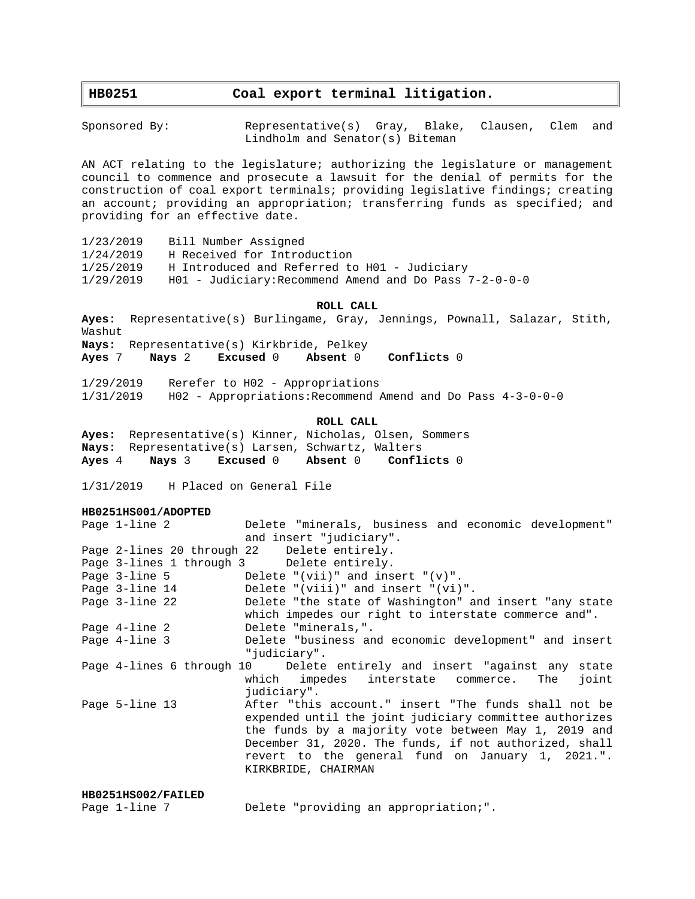# **HB0251 Coal export terminal litigation.**

Sponsored By: Representative(s) Gray, Blake, Clausen, Clem and Lindholm and Senator(s) Biteman

AN ACT relating to the legislature; authorizing the legislature or management council to commence and prosecute a lawsuit for the denial of permits for the construction of coal export terminals; providing legislative findings; creating an account; providing an appropriation; transferring funds as specified; and providing for an effective date.

| 1/23/2019 | Bill Number Assigned                                       |
|-----------|------------------------------------------------------------|
| 1/24/2019 | H Received for Introduction                                |
| 1/25/2019 | H Introduced and Referred to H01 - Judiciary               |
| 1/29/2019 | $H01$ - Judiciary: Recommend Amend and Do Pass $7-2-0-0-0$ |

# **ROLL CALL**

**Ayes:** Representative(s) Burlingame, Gray, Jennings, Pownall, Salazar, Stith, Washut **Nays:** Representative(s) Kirkbride, Pelkey **Ayes** 7 **Nays** 2 **Excused** 0 **Absent** 0 **Conflicts** 0

1/29/2019 Rerefer to H02 - Appropriations 1/31/2019 H02 - Appropriations:Recommend Amend and Do Pass 4-3-0-0-0

#### **ROLL CALL**

**Ayes:** Representative(s) Kinner, Nicholas, Olsen, Sommers **Nays:** Representative(s) Larsen, Schwartz, Walters **Ayes** 4 **Nays** 3 **Excused** 0 **Absent** 0 **Conflicts** 0

1/31/2019 H Placed on General File

# **HB0251HS001/ADOPTED**

| Page 1-line 2      | Delete "minerals, business and economic development"                    |
|--------------------|-------------------------------------------------------------------------|
|                    | and insert "judiciary".                                                 |
|                    | Page 2-lines 20 through 22 Delete entirely.                             |
|                    | Page 3-lines 1 through 3 Delete entirely.                               |
| Page 3-line 5      | Delete "(vii)" and insert "(v)".                                        |
| Page 3-line 14     | Delete "(viii)" and insert "(vi)".                                      |
| Page 3-line 22     | Delete "the state of Washington" and insert "any state                  |
|                    | which impedes our right to interstate commerce and".                    |
| Page 4-line 2      | Delete "minerals,".                                                     |
| Page 4-line 3      | Delete "business and economic development" and insert                   |
|                    | "judiciary".                                                            |
|                    | Page 4-lines 6 through 10 Delete entirely and insert "against any state |
|                    | which impedes interstate commerce. The<br>ioint                         |
|                    | judiciary".                                                             |
| Page 5-line 13     | After "this account." insert "The funds shall not be                    |
|                    | expended until the joint judiciary committee authorizes                 |
|                    | the funds by a majority vote between May 1, 2019 and                    |
|                    | December 31, 2020. The funds, if not authorized, shall                  |
|                    | revert to the general fund on January 1, 2021.".                        |
|                    | KIRKBRIDE, CHAIRMAN                                                     |
|                    |                                                                         |
| HB0251HS002/FAILED |                                                                         |

| Page 1-line 7 |  |  |  |  | Delete "providing an appropriation;". |  |
|---------------|--|--|--|--|---------------------------------------|--|
|---------------|--|--|--|--|---------------------------------------|--|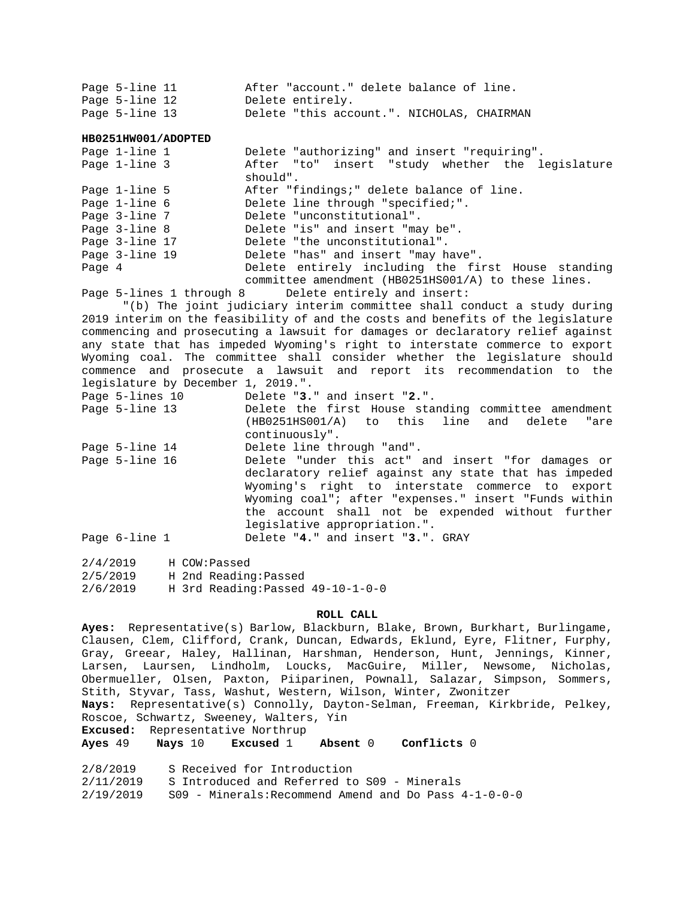| Page 5-line 11 |  |                  |  | After "account." delete balance of line.   |  |
|----------------|--|------------------|--|--------------------------------------------|--|
| Page 5-line 12 |  | Delete entirely. |  |                                            |  |
| Page 5-line 13 |  |                  |  | Delete "this account.". NICHOLAS, CHAIRMAN |  |

**HB0251HW001/ADOPTED**

|        | Page 1-line 1  | Delete "authorizing" and insert "requiring".        |
|--------|----------------|-----------------------------------------------------|
|        | Page 1-line 3  | After "to" insert "study whether the legislature    |
|        |                | should".                                            |
|        | Page 1-line 5  | After "findings;" delete balance of line.           |
|        | Page 1-line 6  | Delete line through "specified;".                   |
|        | Page 3-line 7  | Delete "unconstitutional".                          |
|        | Page 3-line 8  | Delete "is" and insert "may be".                    |
|        | Page 3-line 17 | Delete "the unconstitutional".                      |
|        | Page 3-line 19 | Delete "has" and insert "may have".                 |
| Page 4 |                | Delete entirely including the first House standing  |
|        |                | committee amendment (HB0251HS001/A) to these lines. |

Page 5-lines 1 through 8 Delete entirely and insert:

"(b) The joint judiciary interim committee shall conduct a study during 2019 interim on the feasibility of and the costs and benefits of the legislature commencing and prosecuting a lawsuit for damages or declaratory relief against any state that has impeded Wyoming's right to interstate commerce to export Wyoming coal. The committee shall consider whether the legislature should commence and prosecute a lawsuit and report its recommendation to the legislature by December 1, 2019.".

| Page 5-lines 10 | Delete "3." and insert "2.".                                      |
|-----------------|-------------------------------------------------------------------|
| Page 5-line 13  | Delete the first House standing committee amendment               |
|                 | (HB0251HS001/A) to this line and delete<br>"are<br>continuously". |
| Page 5-line 14  | Delete line through "and".                                        |
| Page 5-line 16  | Delete "under this act" and insert "for damages or                |
|                 | declaratory relief against any state that has impeded             |
|                 | Wyoming's right to interstate commerce to export                  |
|                 | Wyoming coal"; after "expenses." insert "Funds within             |
|                 | the account shall not be expended without further                 |
|                 | legislative appropriation.".                                      |
| Page 6-line 1   | Delete "4." and insert "3.". GRAY                                 |

| 2/4/2019 |  | H COW:Passed                      |  |
|----------|--|-----------------------------------|--|
| 2/5/2019 |  | H 2nd Reading: Passed             |  |
| 2/6/2019 |  | H 3rd Reading: Passed 49-10-1-0-0 |  |

### **ROLL CALL**

**Ayes:** Representative(s) Barlow, Blackburn, Blake, Brown, Burkhart, Burlingame, Clausen, Clem, Clifford, Crank, Duncan, Edwards, Eklund, Eyre, Flitner, Furphy, Gray, Greear, Haley, Hallinan, Harshman, Henderson, Hunt, Jennings, Kinner, Larsen, Laursen, Lindholm, Loucks, MacGuire, Miller, Newsome, Nicholas, Obermueller, Olsen, Paxton, Piiparinen, Pownall, Salazar, Simpson, Sommers, Stith, Styvar, Tass, Washut, Western, Wilson, Winter, Zwonitzer **Nays:** Representative(s) Connolly, Dayton-Selman, Freeman, Kirkbride, Pelkey,

Roscoe, Schwartz, Sweeney, Walters, Yin

**Excused:** Representative Northrup

**Ayes** 49 **Nays** 10 **Excused** 1 **Absent** 0 **Conflicts** 0

| 2/8/2019  | S Received for Introduction                              |
|-----------|----------------------------------------------------------|
| 2/11/2019 | S Introduced and Referred to S09 - Minerals              |
| 2/19/2019 | $S09$ - Minerals:Recommend Amend and Do Pass $4-1-0-0-0$ |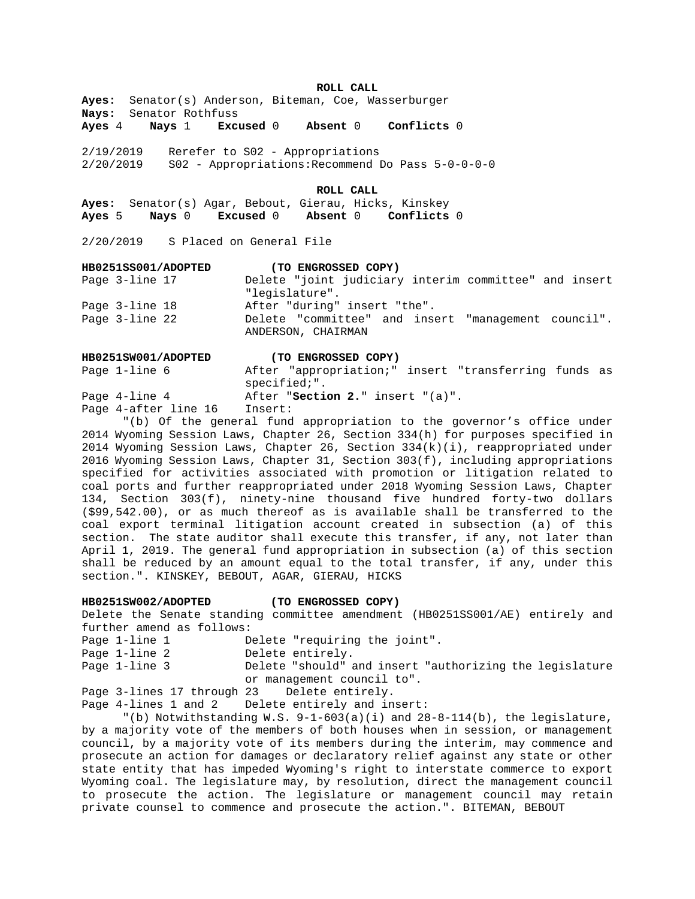## **ROLL CALL**

**Ayes:** Senator(s) Anderson, Biteman, Coe, Wasserburger **Nays:** Senator Rothfuss

**Ayes** 4 **Nays** 1 **Excused** 0 **Absent** 0 **Conflicts** 0

2/19/2019 Rerefer to S02 - Appropriations 2/20/2019 S02 - Appropriations:Recommend Do Pass 5-0-0-0-0

**ROLL CALL**

**Ayes:** Senator(s) Agar, Bebout, Gierau, Hicks, Kinskey **Ayes** 5 **Nays** 0 **Excused** 0 **Absent** 0 **Conflicts** 0

2/20/2019 S Placed on General File

| HB0251SS001/ADOPTED | (TO ENGROSSED COPY)                                                       |
|---------------------|---------------------------------------------------------------------------|
| Page 3-line 17      | Delete "joint judiciary interim committee" and insert                     |
|                     | "legislature".                                                            |
| Page 3-line 18      | After "during" insert "the".                                              |
| Page 3-line 22      | Delete "committee" and insert "management council".<br>ANDERSON, CHAIRMAN |

| HB0251SW001/ADOPTED  | (TO ENGROSSED COPY)                                                     |
|----------------------|-------------------------------------------------------------------------|
| Page 1-line 6        | After "appropriation;" insert "transferring funds as<br>$spectfied."$ . |
| Page 4-line 4        | After "Section 2." insert "(a)".                                        |
| Page 4-after line 16 | Insert:                                                                 |

"(b) Of the general fund appropriation to the governor's office under 2014 Wyoming Session Laws, Chapter 26, Section 334(h) for purposes specified in 2014 Wyoming Session Laws, Chapter 26, Section 334(k)(i), reappropriated under 2016 Wyoming Session Laws, Chapter 31, Section 303(f), including appropriations specified for activities associated with promotion or litigation related to coal ports and further reappropriated under 2018 Wyoming Session Laws, Chapter 134, Section 303(f), ninety-nine thousand five hundred forty-two dollars (\$99,542.00), or as much thereof as is available shall be transferred to the coal export terminal litigation account created in subsection (a) of this section. The state auditor shall execute this transfer, if any, not later than April 1, 2019. The general fund appropriation in subsection (a) of this section shall be reduced by an amount equal to the total transfer, if any, under this section.". KINSKEY, BEBOUT, AGAR, GIERAU, HICKS

#### **HB0251SW002/ADOPTED (TO ENGROSSED COPY)**

Delete the Senate standing committee amendment (HB0251SS001/AE) entirely and further amend as follows: Page 1-line 1 Delete "requiring the joint". Page 1-line 2 Delete entirely. Page 1-line 3 Delete "should" and insert "authorizing the legislature or management council to". Page 3-lines 17 through 23 Delete entirely.

Page 4-lines 1 and 2 Delete entirely and insert:

"(b) Notwithstanding W.S.  $9-1-603(a)(i)$  and  $28-8-114(b)$ , the legislature, by a majority vote of the members of both houses when in session, or management council, by a majority vote of its members during the interim, may commence and prosecute an action for damages or declaratory relief against any state or other state entity that has impeded Wyoming's right to interstate commerce to export Wyoming coal. The legislature may, by resolution, direct the management council to prosecute the action. The legislature or management council may retain private counsel to commence and prosecute the action.". BITEMAN, BEBOUT